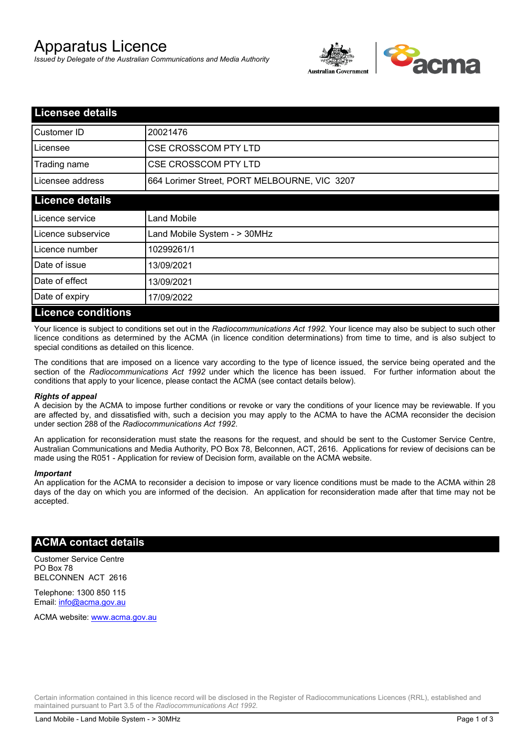# Apparatus Licence

*Issued by Delegate of the Australian Communications and Media Authority*



| Licensee details          |                                              |  |
|---------------------------|----------------------------------------------|--|
| Customer ID               | 20021476                                     |  |
| Licensee                  | <b>CSE CROSSCOM PTY LTD</b>                  |  |
| Trading name              | <b>CSE CROSSCOM PTY LTD</b>                  |  |
| Licensee address          | 664 Lorimer Street, PORT MELBOURNE, VIC 3207 |  |
| <b>Licence details</b>    |                                              |  |
| Licence service           | Land Mobile                                  |  |
| Licence subservice        | Land Mobile System - > 30MHz                 |  |
| Licence number            | 10299261/1                                   |  |
| Date of issue             | 13/09/2021                                   |  |
| Date of effect            | 13/09/2021                                   |  |
| Date of expiry            | 17/09/2022                                   |  |
| <b>Licence conditions</b> |                                              |  |

Your licence is subject to conditions set out in the *Radiocommunications Act 1992*. Your licence may also be subject to such other licence conditions as determined by the ACMA (in licence condition determinations) from time to time, and is also subject to special conditions as detailed on this licence.

The conditions that are imposed on a licence vary according to the type of licence issued, the service being operated and the section of the *Radiocommunications Act 1992* under which the licence has been issued. For further information about the conditions that apply to your licence, please contact the ACMA (see contact details below).

### *Rights of appeal*

A decision by the ACMA to impose further conditions or revoke or vary the conditions of your licence may be reviewable. If you are affected by, and dissatisfied with, such a decision you may apply to the ACMA to have the ACMA reconsider the decision under section 288 of the *Radiocommunications Act 1992*.

An application for reconsideration must state the reasons for the request, and should be sent to the Customer Service Centre, Australian Communications and Media Authority, PO Box 78, Belconnen, ACT, 2616. Applications for review of decisions can be made using the R051 - Application for review of Decision form, available on the ACMA website.

#### *Important*

An application for the ACMA to reconsider a decision to impose or vary licence conditions must be made to the ACMA within 28 days of the day on which you are informed of the decision. An application for reconsideration made after that time may not be accepted.

### **ACMA contact details**

Customer Service Centre PO Box 78 BELCONNEN ACT 2616

Telephone: 1300 850 115 Email: info@acma.gov.au

ACMA website: www.acma.gov.au

Certain information contained in this licence record will be disclosed in the Register of Radiocommunications Licences (RRL), established and maintained pursuant to Part 3.5 of the *Radiocommunications Act 1992.*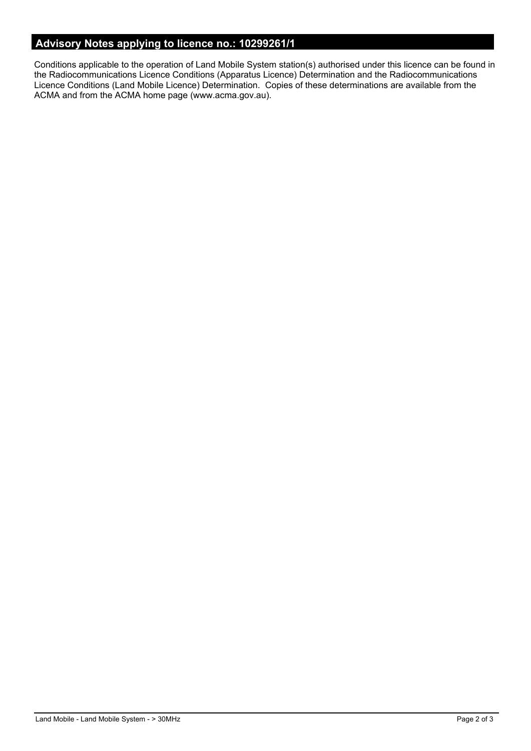# **Advisory Notes applying to licence no.: 10299261/1**

Conditions applicable to the operation of Land Mobile System station(s) authorised under this licence can be found in the Radiocommunications Licence Conditions (Apparatus Licence) Determination and the Radiocommunications Licence Conditions (Land Mobile Licence) Determination. Copies of these determinations are available from the ACMA and from the ACMA home page (www.acma.gov.au).